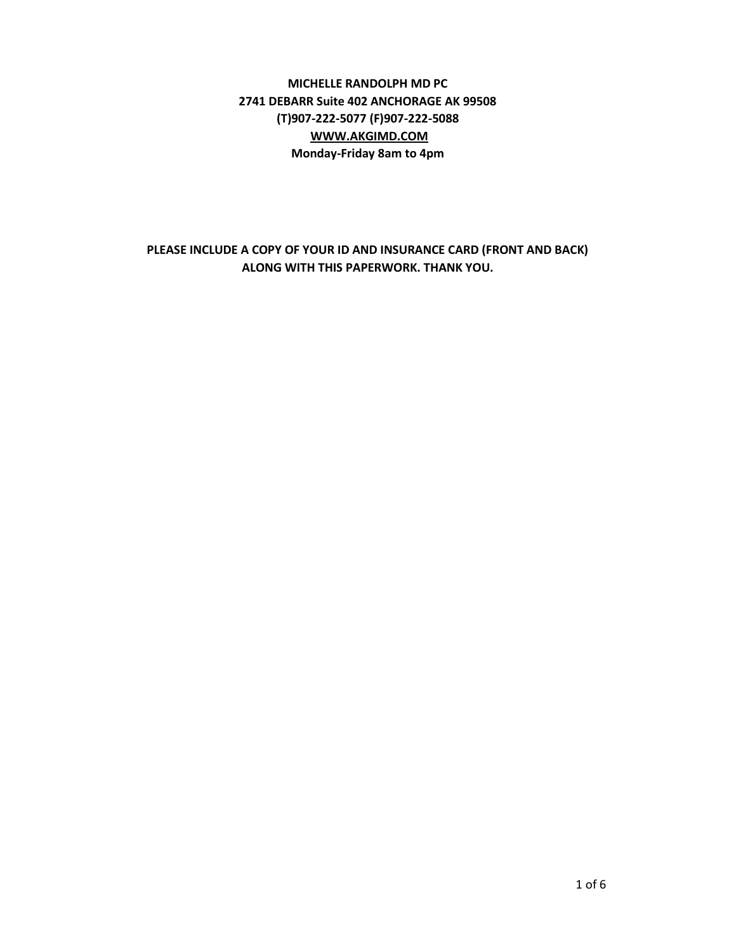# **MICHELLE RANDOLPH MD PC 2741 DEBARR Suite 402 ANCHORAGE AK 99508 (T)907-222-5077 (F)907-222-5088 [WWW.AKGIMD.COM](http://www.akgimd.com/) Monday-Friday 8am to 4pm**

**PLEASE INCLUDE A COPY OF YOUR ID AND INSURANCE CARD (FRONT AND BACK) ALONG WITH THIS PAPERWORK. THANK YOU.**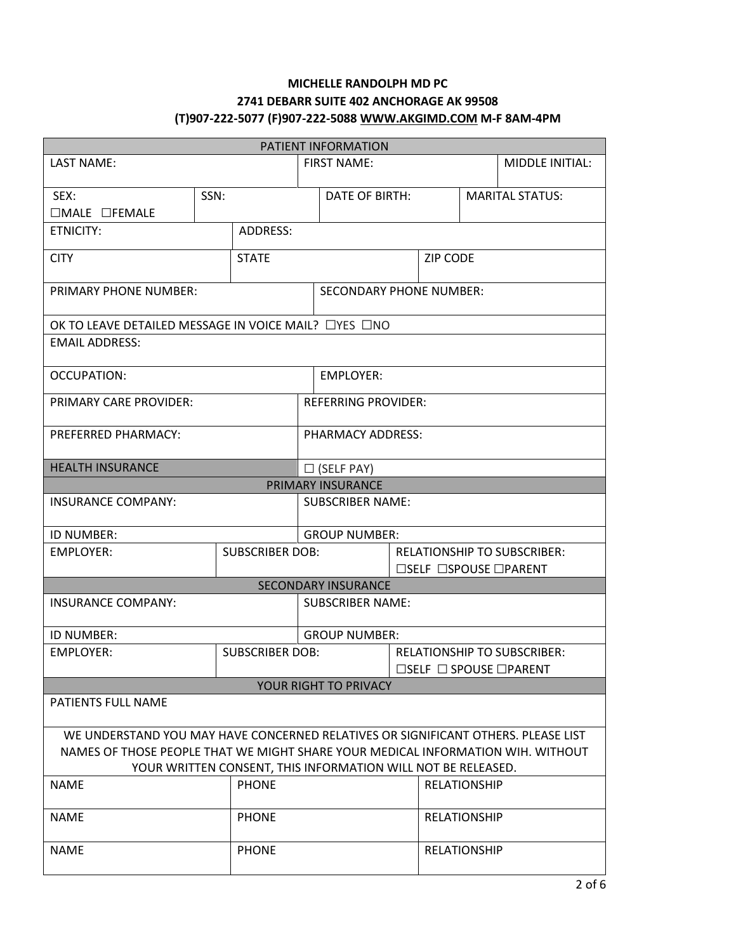# **MICHELLE RANDOLPH MD PC 2741 DEBARR SUITE 402 ANCHORAGE AK 99508 (T)907-222-5077 (F)907-222-508[8 WWW.AKGIMD.COM](http://www.akgimd.com/) M-F 8AM-4PM**

| PATIENT INFORMATION                                                                                                                                                  |              |                        |                                                                                        |                                                              |                     |                     |                                                                                        |                 |  |
|----------------------------------------------------------------------------------------------------------------------------------------------------------------------|--------------|------------------------|----------------------------------------------------------------------------------------|--------------------------------------------------------------|---------------------|---------------------|----------------------------------------------------------------------------------------|-----------------|--|
| LAST NAME:                                                                                                                                                           |              |                        |                                                                                        | <b>FIRST NAME:</b>                                           |                     |                     |                                                                                        | MIDDLE INITIAL: |  |
| SEX:<br>$\Box$ MALE $\Box$ FEMALE                                                                                                                                    | SSN:         |                        |                                                                                        | DATE OF BIRTH:                                               |                     |                     | <b>MARITAL STATUS:</b>                                                                 |                 |  |
| <b>ETNICITY:</b>                                                                                                                                                     |              | ADDRESS:               |                                                                                        |                                                              |                     |                     |                                                                                        |                 |  |
| <b>CITY</b>                                                                                                                                                          |              | <b>STATE</b>           |                                                                                        |                                                              |                     |                     | <b>ZIP CODE</b>                                                                        |                 |  |
| <b>PRIMARY PHONE NUMBER:</b>                                                                                                                                         |              |                        |                                                                                        | <b>SECONDARY PHONE NUMBER:</b>                               |                     |                     |                                                                                        |                 |  |
| OK TO LEAVE DETAILED MESSAGE IN VOICE MAIL? $\Box$ YES $\Box$ NO                                                                                                     |              |                        |                                                                                        |                                                              |                     |                     |                                                                                        |                 |  |
| <b>EMAIL ADDRESS:</b>                                                                                                                                                |              |                        |                                                                                        |                                                              |                     |                     |                                                                                        |                 |  |
| <b>OCCUPATION:</b>                                                                                                                                                   |              |                        |                                                                                        | <b>EMPLOYER:</b>                                             |                     |                     |                                                                                        |                 |  |
| PRIMARY CARE PROVIDER:                                                                                                                                               |              |                        |                                                                                        | <b>REFERRING PROVIDER:</b>                                   |                     |                     |                                                                                        |                 |  |
| PREFERRED PHARMACY:                                                                                                                                                  |              |                        | PHARMACY ADDRESS:                                                                      |                                                              |                     |                     |                                                                                        |                 |  |
| <b>HEALTH INSURANCE</b>                                                                                                                                              |              |                        | $\Box$ (SELF PAY)                                                                      |                                                              |                     |                     |                                                                                        |                 |  |
|                                                                                                                                                                      |              |                        |                                                                                        | PRIMARY INSURANCE                                            |                     |                     |                                                                                        |                 |  |
| <b>INSURANCE COMPANY:</b>                                                                                                                                            |              |                        |                                                                                        | <b>SUBSCRIBER NAME:</b>                                      |                     |                     |                                                                                        |                 |  |
| ID NUMBER:                                                                                                                                                           |              |                        |                                                                                        | <b>GROUP NUMBER:</b>                                         |                     |                     |                                                                                        |                 |  |
| <b>EMPLOYER:</b>                                                                                                                                                     |              | <b>SUBSCRIBER DOB:</b> |                                                                                        |                                                              |                     |                     | <b>RELATIONSHIP TO SUBSCRIBER:</b><br>$\square$ SELF $\square$ SPOUSE $\square$ PARENT |                 |  |
|                                                                                                                                                                      |              |                        |                                                                                        | <b>SECONDARY INSURANCE</b>                                   |                     |                     |                                                                                        |                 |  |
| <b>INSURANCE COMPANY:</b>                                                                                                                                            |              |                        |                                                                                        | <b>SUBSCRIBER NAME:</b>                                      |                     |                     |                                                                                        |                 |  |
| <b>ID NUMBER:</b>                                                                                                                                                    |              |                        |                                                                                        | <b>GROUP NUMBER:</b>                                         |                     |                     |                                                                                        |                 |  |
| <b>EMPLOYER:</b>                                                                                                                                                     |              | <b>SUBSCRIBER DOB:</b> | <b>RELATIONSHIP TO SUBSCRIBER:</b><br>$\square$ SELF $\square$ SPOUSE $\square$ PARENT |                                                              |                     |                     |                                                                                        |                 |  |
|                                                                                                                                                                      |              |                        |                                                                                        | YOUR RIGHT TO PRIVACY                                        |                     |                     |                                                                                        |                 |  |
| <b>PATIENTS FULL NAME</b>                                                                                                                                            |              |                        |                                                                                        |                                                              |                     |                     |                                                                                        |                 |  |
| WE UNDERSTAND YOU MAY HAVE CONCERNED RELATIVES OR SIGNIFICANT OTHERS. PLEASE LIST<br>NAMES OF THOSE PEOPLE THAT WE MIGHT SHARE YOUR MEDICAL INFORMATION WIH. WITHOUT |              |                        |                                                                                        | YOUR WRITTEN CONSENT, THIS INFORMATION WILL NOT BE RELEASED. |                     |                     |                                                                                        |                 |  |
| <b>PHONE</b><br><b>NAME</b>                                                                                                                                          |              |                        |                                                                                        |                                                              |                     | <b>RELATIONSHIP</b> |                                                                                        |                 |  |
| <b>NAME</b>                                                                                                                                                          |              | <b>PHONE</b>           |                                                                                        |                                                              |                     | <b>RELATIONSHIP</b> |                                                                                        |                 |  |
| <b>NAME</b>                                                                                                                                                          | <b>PHONE</b> |                        |                                                                                        |                                                              | <b>RELATIONSHIP</b> |                     |                                                                                        |                 |  |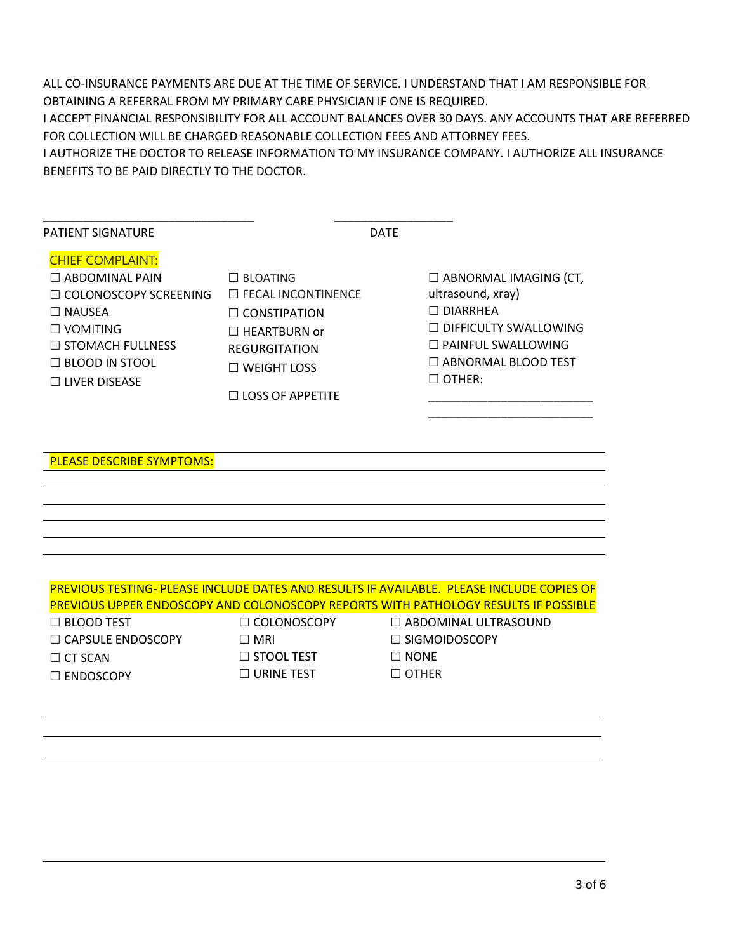ALL CO-INSURANCE PAYMENTS ARE DUE AT THE TIME OF SERVICE. I UNDERSTAND THAT I AM RESPONSIBLE FOR OBTAINING A REFERRAL FROM MY PRIMARY CARE PHYSICIAN IF ONE IS REQUIRED.

I ACCEPT FINANCIAL RESPONSIBILITY FOR ALL ACCOUNT BALANCES OVER 30 DAYS. ANY ACCOUNTS THAT ARE REFERRED FOR COLLECTION WILL BE CHARGED REASONABLE COLLECTION FEES AND ATTORNEY FEES.

I AUTHORIZE THE DOCTOR TO RELEASE INFORMATION TO MY INSURANCE COMPANY. I AUTHORIZE ALL INSURANCE BENEFITS TO BE PAID DIRECTLY TO THE DOCTOR.

|                                                                                                                                                                                        | <b>DATE</b>                                                                                                                                                         |                                                                                                                                                                             |
|----------------------------------------------------------------------------------------------------------------------------------------------------------------------------------------|---------------------------------------------------------------------------------------------------------------------------------------------------------------------|-----------------------------------------------------------------------------------------------------------------------------------------------------------------------------|
| <b>CHIEF COMPLAINT:</b><br>$\Box$ ABDOMINAL PAIN<br>□ COLONOSCOPY SCREENING<br>$\Box$ NAUSEA<br>$\Box$ VOMITING<br>$\Box$ STOMACH FULLNESS<br>$\Box$ BLOOD IN STOOL<br>□ LIVER DISEASE | $\Box$ BLOATING<br>$\Box$ FECAL INCONTINENCE<br>$\Box$ CONSTIPATION<br>$\Box$ HEARTBURN or<br><b>REGURGITATION</b><br>$\Box$ WEIGHT LOSS<br>$\Box$ LOSS OF APPETITE | $\Box$ ABNORMAL IMAGING (CT,<br>ultrasound, xray)<br>$\Box$ DIARRHEA<br>□ DIFFICULTY SWALLOWING<br>$\Box$ PAINFUL SWALLOWING<br>$\Box$ ABNORMAL BLOOD TEST<br>$\Box$ OTHER: |
| <b>PLEASE DESCRIBE SYMPTOMS:</b>                                                                                                                                                       |                                                                                                                                                                     |                                                                                                                                                                             |
|                                                                                                                                                                                        |                                                                                                                                                                     |                                                                                                                                                                             |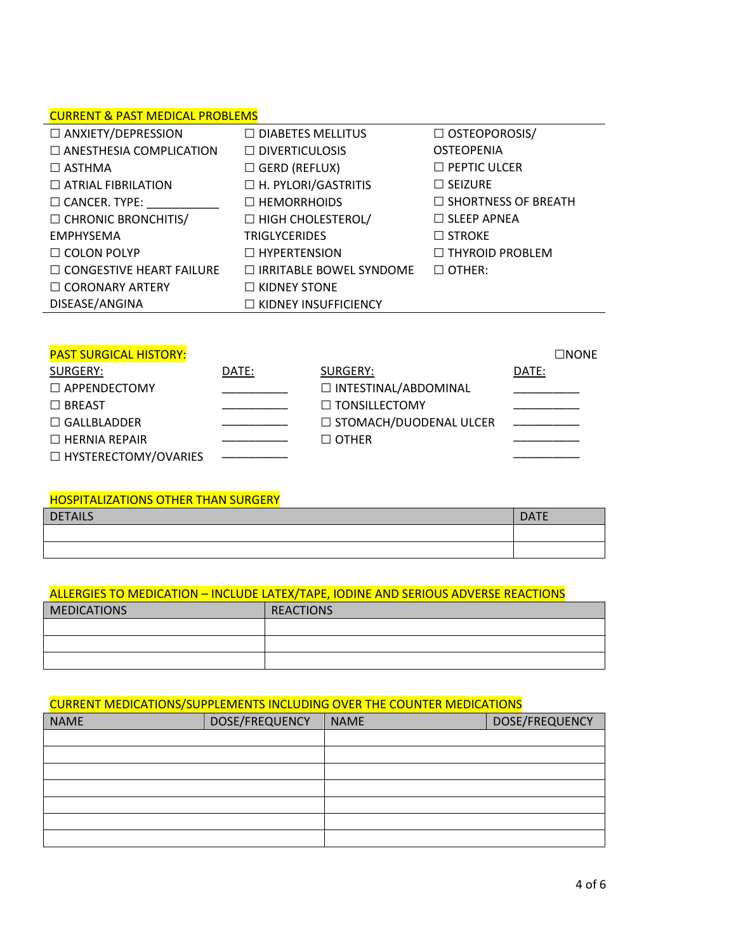# CURRENT & PAST MEDICAL PROBLEMS

| <u>CONNEIT &amp; FAST ITLEDICAL INODELITIO</u> |                                |                            |
|------------------------------------------------|--------------------------------|----------------------------|
| $\Box$ ANXIETY/DEPRESSION                      | $\Box$ DIABETES MELLITUS       | $\Box$ OSTEOPOROSIS/       |
| $\Box$ ANESTHESIA COMPLICATION                 | $\Box$ DIVERTICULOSIS          | <b>OSTEOPENIA</b>          |
| $\Box$ ASTHMA                                  | $\Box$ GERD (REFLUX)           | $\Box$ PEPTIC ULCER        |
| $\Box$ ATRIAL FIBRILATION                      | $\Box$ H. PYLORI/GASTRITIS     | $\Box$ SEIZURE             |
| $\Box$ CANCER. TYPE:                           | $\Box$ HEMORRHOIDS             | $\Box$ SHORTNESS OF BREATH |
| $\Box$ CHRONIC BRONCHITIS/                     | $\Box$ HIGH CHOLESTEROL/       | $\Box$ SLEEP APNEA         |
| <b>EMPHYSEMA</b>                               | <b>TRIGLYCERIDES</b>           | $\Box$ STROKE              |
| $\Box$ COLON POLYP                             | $\Box$ HYPERTENSION            | $\Box$ THYROID PROBLEM     |
| $\Box$ CONGESTIVE HEART FAILURE                | $\Box$ IRRITABLE BOWEL SYNDOME | $\Box$ OTHER:              |
| $\Box$ CORONARY ARTERY                         | $\Box$ KIDNEY STONE            |                            |
| DISEASE/ANGINA                                 | $\Box$ KIDNEY INSUFFICIENCY    |                            |
|                                                |                                |                            |

# PAST SURGICAL HISTORY: ☐NONE

| SURGERY:               | DATE: | SURGERY:                 | DATE: |
|------------------------|-------|--------------------------|-------|
| $\Box$ APPENDECTOMY    |       | □ INTESTINAL/ABDOMINAL   |       |
| $\Box$ BREAST          |       | $\Box$ TONSILLECTOMY     |       |
| $\Box$ GALLBLADDER     |       | □ STOMACH/DUODENAL ULCER |       |
| $\Box$ HERNIA REPAIR   |       | $\Box$ OTHER             |       |
| □ HYSTERECTOMY/OVARIES |       |                          |       |

#### HOSPITALIZATIONS OTHER THAN SURGERY

| <b>DETAILS</b> | <b>DATE</b> |
|----------------|-------------|
|                |             |
|                |             |

#### ALLERGIES TO MEDICATION – INCLUDE LATEX/TAPE, IODINE AND SERIOUS ADVERSE REACTIONS

| <b>MEDICATIONS</b> | <b>REACTIONS</b> |
|--------------------|------------------|
|                    |                  |
|                    |                  |
|                    |                  |

### CURRENT MEDICATIONS/SUPPLEMENTS INCLUDING OVER THE COUNTER MEDICATIONS

| <b>NAME</b> | DOSE/FREQUENCY | <b>NAME</b> | DOSE/FREQUENCY |
|-------------|----------------|-------------|----------------|
|             |                |             |                |
|             |                |             |                |
|             |                |             |                |
|             |                |             |                |
|             |                |             |                |
|             |                |             |                |
|             |                |             |                |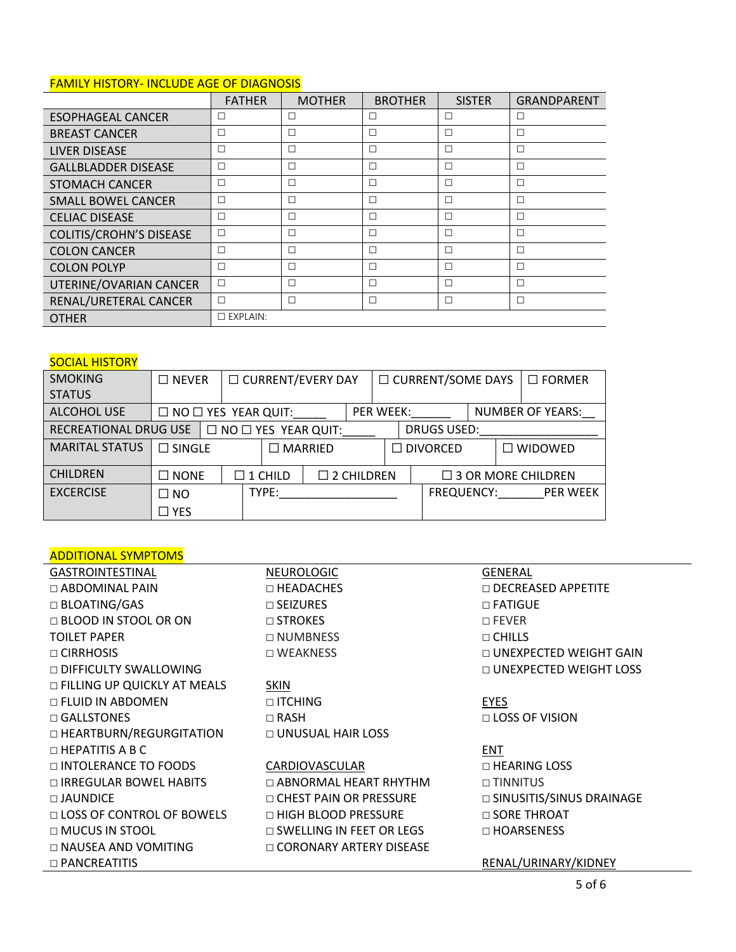# FAMILY HISTORY- INCLUDE AGE OF DIAGNOSIS

|                                | <b>FATHER</b>      | <b>MOTHER</b> | <b>BROTHER</b> | <b>SISTER</b> | <b>GRANDPARENT</b> |
|--------------------------------|--------------------|---------------|----------------|---------------|--------------------|
| <b>ESOPHAGEAL CANCER</b>       | □                  | □             | Г              | $\Box$        | □                  |
| <b>BREAST CANCER</b>           | $\Box$             | □             | Г              | $\Box$        | $\Box$             |
| <b>LIVER DISEASE</b>           | □                  | □             | Г              | $\Box$        | $\Box$             |
| <b>GALLBLADDER DISEASE</b>     | □                  | □             | Е              | $\Box$        | □                  |
| <b>STOMACH CANCER</b>          | □                  | $\Box$        | Е              | $\Box$        | П                  |
| <b>SMALL BOWEL CANCER</b>      | П                  | □             | Е              | $\Box$        | П                  |
| <b>CELIAC DISEASE</b>          | □                  | □             | Е              | $\Box$        | $\Box$             |
| <b>COLITIS/CROHN'S DISEASE</b> | $\Box$             | □             | Г              | $\Box$        | П                  |
| <b>COLON CANCER</b>            | П                  | П             | г              | $\Box$        | П                  |
| <b>COLON POLYP</b>             | □                  | $\Box$        | Е              | $\Box$        | П                  |
| UTERINE/OVARIAN CANCER         | $\Box$             | $\Box$        | Е              | $\Box$        | $\Box$             |
| RENAL/URETERAL CANCER          | П                  | $\Box$        | г              | П             | П                  |
| <b>OTHER</b>                   | $\square$ EXPLAIN: |               |                |               |                    |

# **SOCIAL HISTORY**

| <b>SMOKING</b>        | $\Box$ NEVER    | □ CURRENT/EVERY DAY             |                |                                 |                      |                  | □ CURRENT/SOME DAYS |                           |                   |                         | $\Box$ FORMER |                   |
|-----------------------|-----------------|---------------------------------|----------------|---------------------------------|----------------------|------------------|---------------------|---------------------------|-------------------|-------------------------|---------------|-------------------|
| <b>STATUS</b>         |                 |                                 |                |                                 |                      |                  |                     |                           |                   |                         |               |                   |
| <b>ALCOHOL USE</b>    |                 | $\Box$ NO $\Box$ YES YEAR QUIT: |                |                                 |                      | <b>PER WEEK:</b> |                     |                           |                   | <b>NUMBER OF YEARS:</b> |               |                   |
| RECREATIONAL DRUG USE |                 |                                 |                | $\Box$ NO $\Box$ YES YEAR QUIT: |                      |                  |                     | <b>DRUGS USED:</b>        |                   |                         |               |                   |
| <b>MARITAL STATUS</b> | $\Box$ SINGLE   |                                 | $\Box$ MARRIED |                                 |                      |                  |                     | $\Box$ DIVORCED           |                   |                         |               | $\square$ WIDOWED |
| <b>CHILDREN</b>       | $\square$ NONE  | $\Box$ 1 CHILD                  |                |                                 | $\square$ 2 CHILDREN |                  |                     | $\Box$ 3 OR MORE CHILDREN |                   |                         |               |                   |
| <b>EXCERCISE</b>      | $\square$ NO    |                                 |                | TYPE:                           |                      |                  |                     |                           | <b>FREQUENCY:</b> |                         |               | <b>PER WEEK</b>   |
|                       | $\sqsupset$ YES |                                 |                |                                 |                      |                  |                     |                           |                   |                         |               |                   |

# ADDITIONAL SYMPTOMS

| <b>GASTROINTESTINAL</b>          | <b>NEUROLOGIC</b>               | <b>GENERAL</b>                |
|----------------------------------|---------------------------------|-------------------------------|
| $\Box$ ABDOMINAL PAIN            | $\Box$ HEADACHES                | $\Box$ DECREASED APPETITE     |
| $\Box$ BLOATING/GAS              | $\Box$ SEIZURES                 | □ FATIGUE                     |
| $\Box$ BLOOD IN STOOL OR ON      | $\Box$ STROKES                  | $\Box$ FEVER                  |
| <b>TOILET PAPER</b>              | □ NUMBNESS                      | $\Box$ CHILLS                 |
| $\Box$ CIRRHOSIS                 | □ WEAKNESS                      | $\Box$ UNEXPECTED WEIGHT GAIN |
| $\Box$ DIFFICULTY SWALLOWING     |                                 | $\Box$ UNEXPECTED WEIGHT LOSS |
| □ FILLING UP QUICKLY AT MEALS    | <b>SKIN</b>                     |                               |
| □ FLUID IN ABDOMEN               | $\Box$ ITCHING                  | <b>EYES</b>                   |
| $\Box$ GALLSTONES                | $\Box$ RASH                     | $\Box$ LOSS OF VISION         |
| □ HEARTBURN/REGURGITATION        | □ UNUSUAL HAIR LOSS             |                               |
| $\Box$ HEPATITIS A B C           |                                 | ENT                           |
| $\Box$ INTOLERANCE TO FOODS      | CARDIOVASCULAR                  | $\Box$ HEARING LOSS           |
| □ IRREGULAR BOWEL HABITS         | $\Box$ ABNORMAL HEART RHYTHM    | $\Box$ TINNITUS               |
| $\Box$ JAUNDICE                  | $\Box$ CHEST PAIN OR PRESSURE   | □ SINUSITIS/SINUS DRAINAGE    |
| $\Box$ LOSS OF CONTROL OF BOWELS | □ HIGH BLOOD PRESSURE           | $\Box$ SORE THROAT            |
| $\Box$ MUCUS IN STOOL            | $\Box$ SWELLING IN FEET OR LEGS | $\Box$ HOARSENESS             |
| $\Box$ NAUSEA AND VOMITING       | $\Box$ CORONARY ARTERY DISEASE  |                               |
| $\Box$ PANCREATITIS              |                                 | RENAL/URINARY/KIDNEY          |